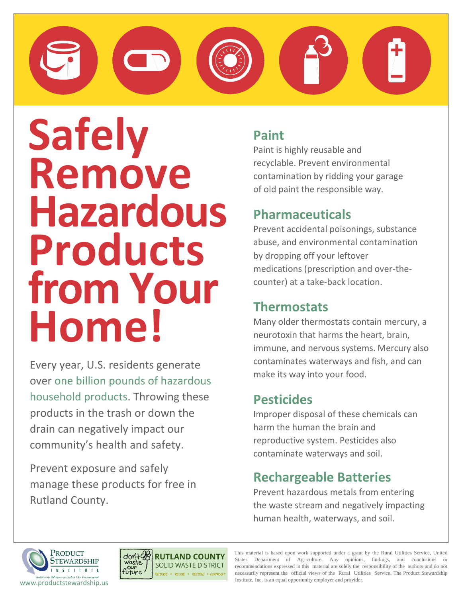# **Safely Remove Hazardous Products from Your Home!**

Every year, U.S. residents generate over one billion pounds of hazardous household products. Throwing these products in the trash or down the drain can negatively impact our community's health and safety.

Prevent exposure and safely manage these products for free in Rutland County.

### **Paint**

Paint is highly reusable and recyclable. Prevent environmental contamination by ridding your garage of old paint the responsible way.

### **Pharmaceuticals**

Prevent accidental poisonings, substance abuse, and environmental contamination by dropping off your leftover medications (prescription and over-thecounter) at a take-back location.

### **Thermostats**

Many older thermostats contain mercury, a neurotoxin that harms the heart, brain, immune, and nervous systems. Mercury also contaminates waterways and fish, and can make its way into your food.

### **Pesticides**

Improper disposal of these chemicals can harm the human the brain and reproductive system. Pesticides also contaminate waterways and soil.

### **Rechargeable Batteries**

Prevent hazardous metals from entering the waste stream and negatively impacting human health, waterways, and soil.





This material is based upon work supported under a grant by the Rural Utilities Service, United States Department of Agriculture. Any opinions, findings, and conclusions or recommendations expressed in this material are solely the responsibility of the authors and do not necessarily represent the official views of the Rural Utilities Service. The Product Stewardship Institute, Inc. is an equal opportunity employer and provider.